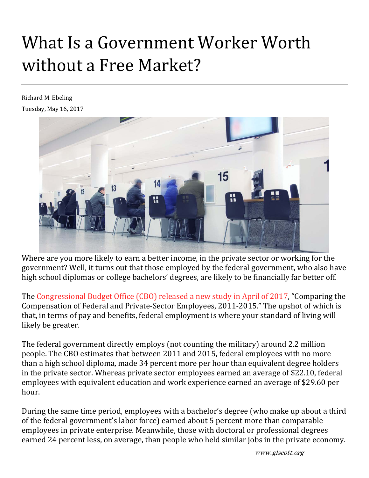# What Is a Government Worker Worth without a Free Market?

Richard M. Ebeling Tuesday, May 16, 2017



Where are you more likely to earn a better income, in the private sector or working for the government? Well, it turns out that those employed by the federal government, who also have high school diplomas or college bachelors' degrees, are likely to be financially far better off.

The Congressional Budget Office (CBO) released a new study in April of 2017, "Comparing the Compensation of Federal and Private-Sector Employees, 2011-2015." The upshot of which is that, in terms of pay and benefits, federal employment is where your standard of living will likely be greater.

The federal government directly employs (not counting the military) around 2.2 million people. The CBO estimates that between 2011 and 2015, federal employees with no more than a high school diploma, made 34 percent more per hour than equivalent degree holders in the private sector. Whereas private sector employees earned an average of \$22.10, federal employees with equivalent education and work experience earned an average of \$29.60 per hour. 

During the same time period, employees with a bachelor's degree (who make up about a third of the federal government's labor force) earned about 5 percent more than comparable employees in private enterprise. Meanwhile, those with doctoral or professional degrees earned 24 percent less, on average, than people who held similar jobs in the private economy.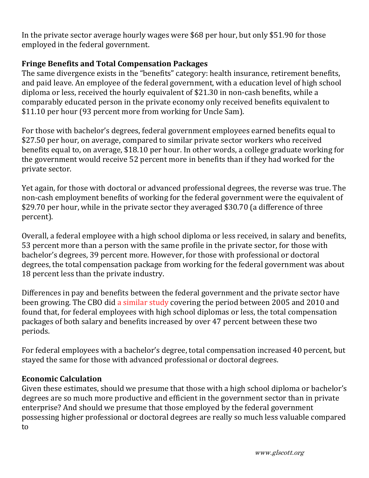In the private sector average hourly wages were \$68 per hour, but only \$51.90 for those employed in the federal government.

## **Fringe Benefits and Total Compensation Packages**

The same divergence exists in the "benefits" category: health insurance, retirement benefits, and paid leave. An employee of the federal government, with a education level of high school diploma or less, received the hourly equivalent of \$21.30 in non-cash benefits, while a comparably educated person in the private economy only received benefits equivalent to \$11.10 per hour (93 percent more from working for Uncle Sam).

For those with bachelor's degrees, federal government employees earned benefits equal to \$27.50 per hour, on average, compared to similar private sector workers who received benefits equal to, on average, \$18.10 per hour. In other words, a college graduate working for the government would receive 52 percent more in benefits than if they had worked for the private sector.

Yet again, for those with doctoral or advanced professional degrees, the reverse was true. The non-cash employment benefits of working for the federal government were the equivalent of \$29.70 per hour, while in the private sector they averaged \$30.70 (a difference of three percent). 

Overall, a federal employee with a high school diploma or less received, in salary and benefits, 53 percent more than a person with the same profile in the private sector, for those with bachelor's degrees, 39 percent more. However, for those with professional or doctoral degrees, the total compensation package from working for the federal government was about 18 percent less than the private industry.

Differences in pay and benefits between the federal government and the private sector have been growing. The CBO did a similar study covering the period between 2005 and 2010 and found that, for federal employees with high school diplomas or less, the total compensation packages of both salary and benefits increased by over 47 percent between these two periods. 

For federal employees with a bachelor's degree, total compensation increased 40 percent, but stayed the same for those with advanced professional or doctoral degrees.

### **Economic Calculation**

Given these estimates, should we presume that those with a high school diploma or bachelor's degrees are so much more productive and efficient in the government sector than in private enterprise? And should we presume that those employed by the federal government possessing higher professional or doctoral degrees are really so much less valuable compared to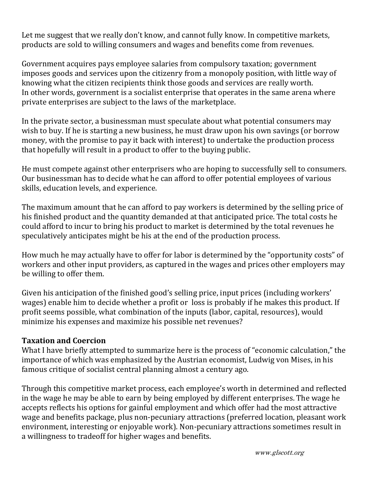Let me suggest that we really don't know, and cannot fully know. In competitive markets, products are sold to willing consumers and wages and benefits come from revenues.

Government acquires pays employee salaries from compulsory taxation; government imposes goods and services upon the citizenry from a monopoly position, with little way of knowing what the citizen recipients think those goods and services are really worth. In other words, government is a socialist enterprise that operates in the same arena where private enterprises are subject to the laws of the marketplace.

In the private sector, a businessman must speculate about what potential consumers may wish to buy. If he is starting a new business, he must draw upon his own savings (or borrow money, with the promise to pay it back with interest) to undertake the production process that hopefully will result in a product to offer to the buying public.

He must compete against other enterprisers who are hoping to successfully sell to consumers. Our businessman has to decide what he can afford to offer potential employees of various skills, education levels, and experience.

The maximum amount that he can afford to pay workers is determined by the selling price of his finished product and the quantity demanded at that anticipated price. The total costs he could afford to incur to bring his product to market is determined by the total revenues he speculatively anticipates might be his at the end of the production process.

How much he may actually have to offer for labor is determined by the "opportunity costs" of workers and other input providers, as captured in the wages and prices other employers may be willing to offer them.

Given his anticipation of the finished good's selling price, input prices (including workers' wages) enable him to decide whether a profit or loss is probably if he makes this product. If profit seems possible, what combination of the inputs (labor, capital, resources), would minimize his expenses and maximize his possible net revenues?

### **Taxation and Coercion**

What I have briefly attempted to summarize here is the process of "economic calculation," the importance of which was emphasized by the Austrian economist, Ludwig von Mises, in his famous critique of socialist central planning almost a century ago.

Through this competitive market process, each employee's worth in determined and reflected in the wage he may be able to earn by being employed by different enterprises. The wage he accepts reflects his options for gainful employment and which offer had the most attractive wage and benefits package, plus non-pecuniary attractions (preferred location, pleasant work environment, interesting or enjoyable work). Non-pecuniary attractions sometimes result in a willingness to tradeoff for higher wages and benefits.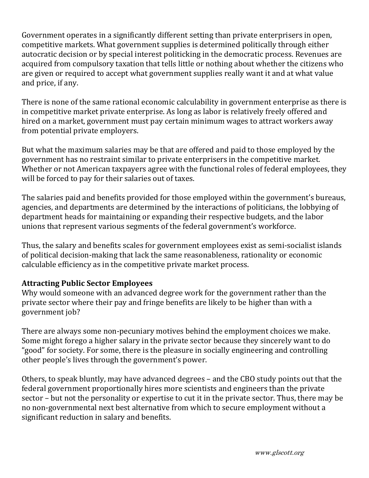Government operates in a significantly different setting than private enterprisers in open, competitive markets. What government supplies is determined politically through either autocratic decision or by special interest politicking in the democratic process. Revenues are acquired from compulsory taxation that tells little or nothing about whether the citizens who are given or required to accept what government supplies really want it and at what value and price, if any.

There is none of the same rational economic calculability in government enterprise as there is in competitive market private enterprise. As long as labor is relatively freely offered and hired on a market, government must pay certain minimum wages to attract workers away from potential private employers.

But what the maximum salaries may be that are offered and paid to those employed by the government has no restraint similar to private enterprisers in the competitive market. Whether or not American taxpayers agree with the functional roles of federal employees, they will be forced to pay for their salaries out of taxes.

The salaries paid and benefits provided for those employed within the government's bureaus, agencies, and departments are determined by the interactions of politicians, the lobbying of department heads for maintaining or expanding their respective budgets, and the labor unions that represent various segments of the federal government's workforce.

Thus, the salary and benefits scales for government employees exist as semi-socialist islands of political decision-making that lack the same reasonableness, rationality or economic calculable efficiency as in the competitive private market process.

### **Attracting Public Sector Employees**

Why would someone with an advanced degree work for the government rather than the private sector where their pay and fringe benefits are likely to be higher than with a government job?

There are always some non-pecuniary motives behind the employment choices we make. Some might forego a higher salary in the private sector because they sincerely want to do "good" for society. For some, there is the pleasure in socially engineering and controlling other people's lives through the government's power.

Others, to speak bluntly, may have advanced degrees – and the CBO study points out that the federal government proportionally hires more scientists and engineers than the private sector – but not the personality or expertise to cut it in the private sector. Thus, there may be no non-governmental next best alternative from which to secure employment without a significant reduction in salary and benefits.